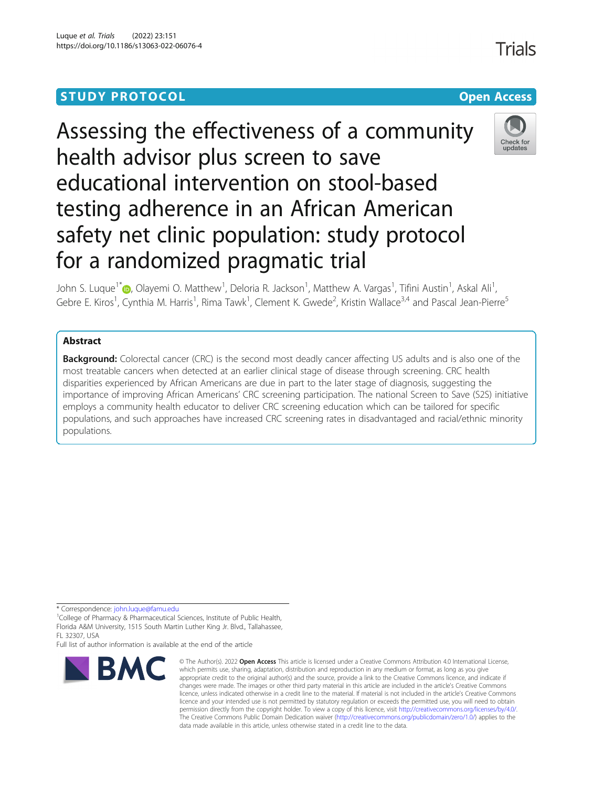## **STUDY PROTOCOL CONSUMING THE CONSUMING OPEN ACCESS**

# Assessing the effectiveness of a community health advisor plus screen to save educational intervention on stool-based testing adherence in an African American safety net clinic population: study protocol for a randomized pragmatic trial



John S. Luque<sup>1\*</sup>©[,](http://orcid.org/0000-0002-8085-4641) Olayemi O. Matthew<sup>1</sup>, Deloria R. Jackson<sup>1</sup>, Matthew A. Vargas<sup>1</sup>, Tifini Austin<sup>1</sup>, Askal Ali<sup>1</sup> , Gebre E. Kiros<sup>1</sup>, Cynthia M. Harris<sup>1</sup>, Rima Tawk<sup>1</sup>, Clement K. Gwede<sup>2</sup>, Kristin Wallace<sup>3,4</sup> and Pascal Jean-Pierre<sup>5</sup>

## Abstract

**Background:** Colorectal cancer (CRC) is the second most deadly cancer affecting US adults and is also one of the most treatable cancers when detected at an earlier clinical stage of disease through screening. CRC health disparities experienced by African Americans are due in part to the later stage of diagnosis, suggesting the importance of improving African Americans' CRC screening participation. The national Screen to Save (S2S) initiative employs a community health educator to deliver CRC screening education which can be tailored for specific populations, and such approaches have increased CRC screening rates in disadvantaged and racial/ethnic minority populations.

\* Correspondence: [john.luque@famu.edu](mailto:john.luque@famu.edu) <sup>1</sup>

<sup>1</sup>College of Pharmacy & Pharmaceutical Sciences, Institute of Public Health, Florida A&M University, 1515 South Martin Luther King Jr. Blvd., Tallahassee, FL 32307, USA

Full list of author information is available at the end of the article



<sup>©</sup> The Author(s), 2022 **Open Access** This article is licensed under a Creative Commons Attribution 4.0 International License, which permits use, sharing, adaptation, distribution and reproduction in any medium or format, as long as you give appropriate credit to the original author(s) and the source, provide a link to the Creative Commons licence, and indicate if changes were made. The images or other third party material in this article are included in the article's Creative Commons licence, unless indicated otherwise in a credit line to the material. If material is not included in the article's Creative Commons licence and your intended use is not permitted by statutory regulation or exceeds the permitted use, you will need to obtain permission directly from the copyright holder. To view a copy of this licence, visit [http://creativecommons.org/licenses/by/4.0/.](http://creativecommons.org/licenses/by/4.0/) The Creative Commons Public Domain Dedication waiver [\(http://creativecommons.org/publicdomain/zero/1.0/](http://creativecommons.org/publicdomain/zero/1.0/)) applies to the data made available in this article, unless otherwise stated in a credit line to the data.

Trials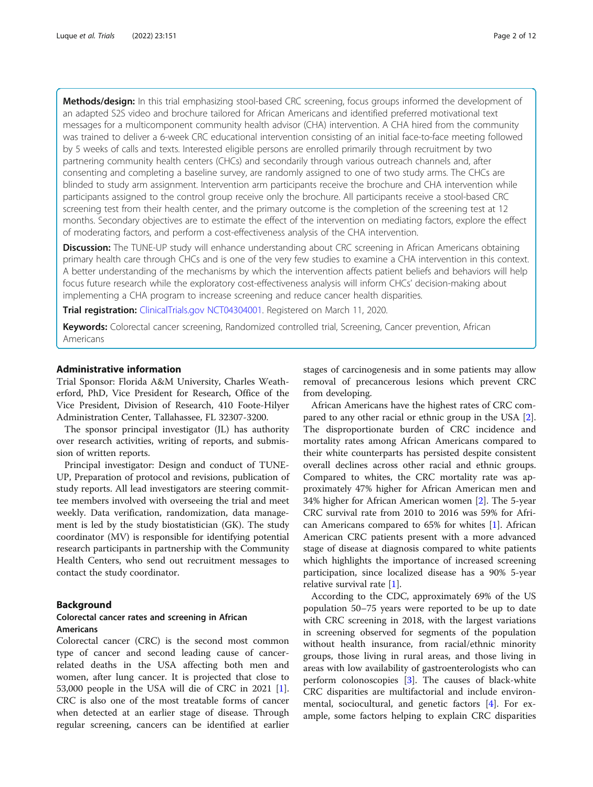Methods/design: In this trial emphasizing stool-based CRC screening, focus groups informed the development of an adapted S2S video and brochure tailored for African Americans and identified preferred motivational text messages for a multicomponent community health advisor (CHA) intervention. A CHA hired from the community was trained to deliver a 6-week CRC educational intervention consisting of an initial face-to-face meeting followed by 5 weeks of calls and texts. Interested eligible persons are enrolled primarily through recruitment by two partnering community health centers (CHCs) and secondarily through various outreach channels and, after consenting and completing a baseline survey, are randomly assigned to one of two study arms. The CHCs are blinded to study arm assignment. Intervention arm participants receive the brochure and CHA intervention while participants assigned to the control group receive only the brochure. All participants receive a stool-based CRC screening test from their health center, and the primary outcome is the completion of the screening test at 12 months. Secondary objectives are to estimate the effect of the intervention on mediating factors, explore the effect of moderating factors, and perform a cost-effectiveness analysis of the CHA intervention.

Discussion: The TUNE-UP study will enhance understanding about CRC screening in African Americans obtaining primary health care through CHCs and is one of the very few studies to examine a CHA intervention in this context. A better understanding of the mechanisms by which the intervention affects patient beliefs and behaviors will help focus future research while the exploratory cost-effectiveness analysis will inform CHCs' decision-making about implementing a CHA program to increase screening and reduce cancer health disparities.

Trial registration: [ClinicalTrials.gov](http://clinicaltrials.gov) [NCT04304001](https://clinicaltrials.gov/ct2/show/NCT04304001). Registered on March 11, 2020.

Keywords: Colorectal cancer screening, Randomized controlled trial, Screening, Cancer prevention, African Americans

## Administrative information

Trial Sponsor: Florida A&M University, Charles Weatherford, PhD, Vice President for Research, Office of the Vice President, Division of Research, 410 Foote-Hilyer Administration Center, Tallahassee, FL 32307-3200.

The sponsor principal investigator (JL) has authority over research activities, writing of reports, and submission of written reports.

Principal investigator: Design and conduct of TUNE-UP, Preparation of protocol and revisions, publication of study reports. All lead investigators are steering committee members involved with overseeing the trial and meet weekly. Data verification, randomization, data management is led by the study biostatistician (GK). The study coordinator (MV) is responsible for identifying potential research participants in partnership with the Community Health Centers, who send out recruitment messages to contact the study coordinator.

## Background

## Colorectal cancer rates and screening in African Americans

Colorectal cancer (CRC) is the second most common type of cancer and second leading cause of cancerrelated deaths in the USA affecting both men and women, after lung cancer. It is projected that close to 53,000 people in the USA will die of CRC in 2021 [\[1](#page-11-0)]. CRC is also one of the most treatable forms of cancer when detected at an earlier stage of disease. Through regular screening, cancers can be identified at earlier

stages of carcinogenesis and in some patients may allow removal of precancerous lesions which prevent CRC from developing.

African Americans have the highest rates of CRC compared to any other racial or ethnic group in the USA [\[2](#page-11-0)]. The disproportionate burden of CRC incidence and mortality rates among African Americans compared to their white counterparts has persisted despite consistent overall declines across other racial and ethnic groups. Compared to whites, the CRC mortality rate was approximately 47% higher for African American men and 34% higher for African American women [[2\]](#page-11-0). The 5-year CRC survival rate from 2010 to 2016 was 59% for African Americans compared to 65% for whites [\[1](#page-11-0)]. African American CRC patients present with a more advanced stage of disease at diagnosis compared to white patients which highlights the importance of increased screening participation, since localized disease has a 90% 5-year relative survival rate [\[1](#page-11-0)].

According to the CDC, approximately 69% of the US population 50–75 years were reported to be up to date with CRC screening in 2018, with the largest variations in screening observed for segments of the population without health insurance, from racial/ethnic minority groups, those living in rural areas, and those living in areas with low availability of gastroenterologists who can perform colonoscopies [[3\]](#page-11-0). The causes of black-white CRC disparities are multifactorial and include environmental, sociocultural, and genetic factors [[4\]](#page-11-0). For example, some factors helping to explain CRC disparities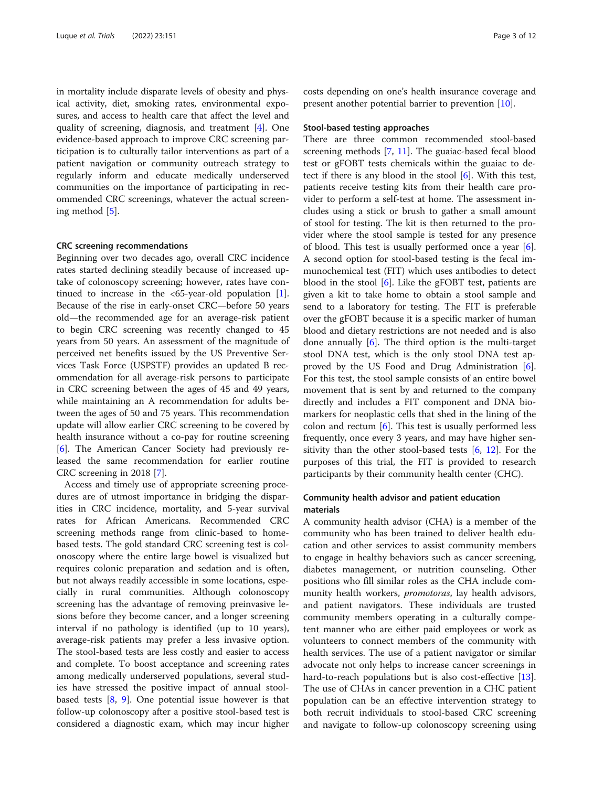in mortality include disparate levels of obesity and physical activity, diet, smoking rates, environmental exposures, and access to health care that affect the level and quality of screening, diagnosis, and treatment [\[4](#page-11-0)]. One evidence-based approach to improve CRC screening participation is to culturally tailor interventions as part of a patient navigation or community outreach strategy to regularly inform and educate medically underserved communities on the importance of participating in recommended CRC screenings, whatever the actual screening method [[5\]](#page-11-0).

#### CRC screening recommendations

Beginning over two decades ago, overall CRC incidence rates started declining steadily because of increased uptake of colonoscopy screening; however, rates have continued to increase in the  $<65$ -year-old population [\[1](#page-11-0)]. Because of the rise in early-onset CRC—before 50 years old—the recommended age for an average-risk patient to begin CRC screening was recently changed to 45 years from 50 years. An assessment of the magnitude of perceived net benefits issued by the US Preventive Services Task Force (USPSTF) provides an updated B recommendation for all average-risk persons to participate in CRC screening between the ages of 45 and 49 years, while maintaining an A recommendation for adults between the ages of 50 and 75 years. This recommendation update will allow earlier CRC screening to be covered by health insurance without a co-pay for routine screening [[6\]](#page-11-0). The American Cancer Society had previously released the same recommendation for earlier routine CRC screening in 2018 [\[7](#page-11-0)].

Access and timely use of appropriate screening procedures are of utmost importance in bridging the disparities in CRC incidence, mortality, and 5-year survival rates for African Americans. Recommended CRC screening methods range from clinic-based to homebased tests. The gold standard CRC screening test is colonoscopy where the entire large bowel is visualized but requires colonic preparation and sedation and is often, but not always readily accessible in some locations, especially in rural communities. Although colonoscopy screening has the advantage of removing preinvasive lesions before they become cancer, and a longer screening interval if no pathology is identified (up to 10 years), average-risk patients may prefer a less invasive option. The stool-based tests are less costly and easier to access and complete. To boost acceptance and screening rates among medically underserved populations, several studies have stressed the positive impact of annual stoolbased tests  $[8, 9]$  $[8, 9]$  $[8, 9]$  $[8, 9]$ . One potential issue however is that follow-up colonoscopy after a positive stool-based test is considered a diagnostic exam, which may incur higher costs depending on one's health insurance coverage and present another potential barrier to prevention [[10\]](#page-11-0).

### Stool-based testing approaches

There are three common recommended stool-based screening methods [[7,](#page-11-0) [11](#page-11-0)]. The guaiac-based fecal blood test or gFOBT tests chemicals within the guaiac to detect if there is any blood in the stool [\[6](#page-11-0)]. With this test, patients receive testing kits from their health care provider to perform a self-test at home. The assessment includes using a stick or brush to gather a small amount of stool for testing. The kit is then returned to the provider where the stool sample is tested for any presence of blood. This test is usually performed once a year [\[6](#page-11-0)]. A second option for stool-based testing is the fecal immunochemical test (FIT) which uses antibodies to detect blood in the stool [[6\]](#page-11-0). Like the gFOBT test, patients are given a kit to take home to obtain a stool sample and send to a laboratory for testing. The FIT is preferable over the gFOBT because it is a specific marker of human blood and dietary restrictions are not needed and is also done annually [\[6](#page-11-0)]. The third option is the multi-target stool DNA test, which is the only stool DNA test approved by the US Food and Drug Administration  $[6]$  $[6]$ . For this test, the stool sample consists of an entire bowel movement that is sent by and returned to the company directly and includes a FIT component and DNA biomarkers for neoplastic cells that shed in the lining of the colon and rectum  $[6]$  $[6]$ . This test is usually performed less frequently, once every 3 years, and may have higher sensitivity than the other stool-based tests [\[6,](#page-11-0) [12](#page-11-0)]. For the purposes of this trial, the FIT is provided to research participants by their community health center (CHC).

## Community health advisor and patient education materials

A community health advisor (CHA) is a member of the community who has been trained to deliver health education and other services to assist community members to engage in healthy behaviors such as cancer screening, diabetes management, or nutrition counseling. Other positions who fill similar roles as the CHA include community health workers, *promotoras*, lay health advisors, and patient navigators. These individuals are trusted community members operating in a culturally competent manner who are either paid employees or work as volunteers to connect members of the community with health services. The use of a patient navigator or similar advocate not only helps to increase cancer screenings in hard-to-reach populations but is also cost-effective [\[13](#page-11-0)]. The use of CHAs in cancer prevention in a CHC patient population can be an effective intervention strategy to both recruit individuals to stool-based CRC screening and navigate to follow-up colonoscopy screening using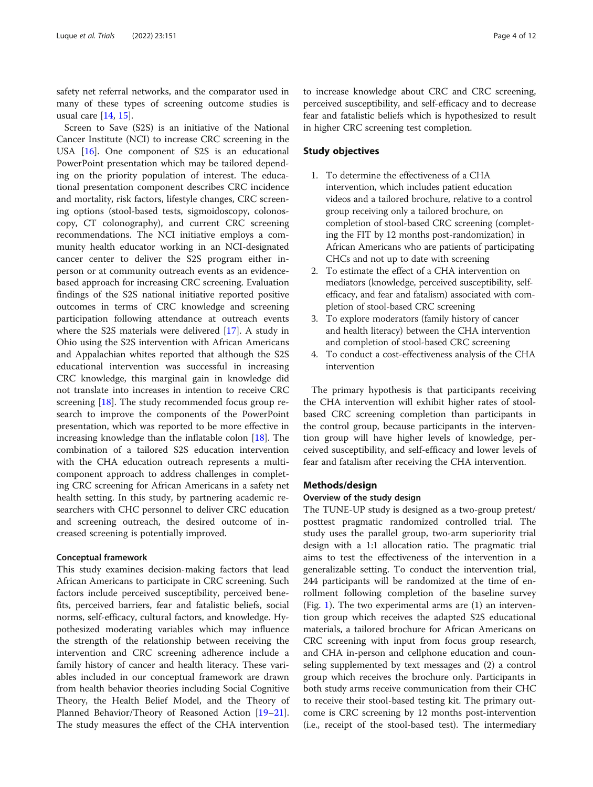safety net referral networks, and the comparator used in many of these types of screening outcome studies is usual care [[14,](#page-11-0) [15\]](#page-11-0).

Screen to Save (S2S) is an initiative of the National Cancer Institute (NCI) to increase CRC screening in the USA [[16\]](#page-11-0). One component of S2S is an educational PowerPoint presentation which may be tailored depending on the priority population of interest. The educational presentation component describes CRC incidence and mortality, risk factors, lifestyle changes, CRC screening options (stool-based tests, sigmoidoscopy, colonoscopy, CT colonography), and current CRC screening recommendations. The NCI initiative employs a community health educator working in an NCI-designated cancer center to deliver the S2S program either inperson or at community outreach events as an evidencebased approach for increasing CRC screening. Evaluation findings of the S2S national initiative reported positive outcomes in terms of CRC knowledge and screening participation following attendance at outreach events where the S2S materials were delivered [[17](#page-11-0)]. A study in Ohio using the S2S intervention with African Americans and Appalachian whites reported that although the S2S educational intervention was successful in increasing CRC knowledge, this marginal gain in knowledge did not translate into increases in intention to receive CRC screening [[18\]](#page-11-0). The study recommended focus group research to improve the components of the PowerPoint presentation, which was reported to be more effective in increasing knowledge than the inflatable colon [[18\]](#page-11-0). The combination of a tailored S2S education intervention with the CHA education outreach represents a multicomponent approach to address challenges in completing CRC screening for African Americans in a safety net health setting. In this study, by partnering academic researchers with CHC personnel to deliver CRC education and screening outreach, the desired outcome of increased screening is potentially improved.

## Conceptual framework

This study examines decision-making factors that lead African Americans to participate in CRC screening. Such factors include perceived susceptibility, perceived benefits, perceived barriers, fear and fatalistic beliefs, social norms, self-efficacy, cultural factors, and knowledge. Hypothesized moderating variables which may influence the strength of the relationship between receiving the intervention and CRC screening adherence include a family history of cancer and health literacy. These variables included in our conceptual framework are drawn from health behavior theories including Social Cognitive Theory, the Health Belief Model, and the Theory of Planned Behavior/Theory of Reasoned Action [[19](#page-11-0)–[21](#page-11-0)]. The study measures the effect of the CHA intervention

to increase knowledge about CRC and CRC screening, perceived susceptibility, and self-efficacy and to decrease fear and fatalistic beliefs which is hypothesized to result in higher CRC screening test completion.

## Study objectives

- 1. To determine the effectiveness of a CHA intervention, which includes patient education videos and a tailored brochure, relative to a control group receiving only a tailored brochure, on completion of stool-based CRC screening (completing the FIT by 12 months post-randomization) in African Americans who are patients of participating CHCs and not up to date with screening
- 2. To estimate the effect of a CHA intervention on mediators (knowledge, perceived susceptibility, selfefficacy, and fear and fatalism) associated with completion of stool-based CRC screening
- 3. To explore moderators (family history of cancer and health literacy) between the CHA intervention and completion of stool-based CRC screening
- 4. To conduct a cost-effectiveness analysis of the CHA intervention

The primary hypothesis is that participants receiving the CHA intervention will exhibit higher rates of stoolbased CRC screening completion than participants in the control group, because participants in the intervention group will have higher levels of knowledge, perceived susceptibility, and self-efficacy and lower levels of fear and fatalism after receiving the CHA intervention.

## Methods/design

## Overview of the study design

The TUNE-UP study is designed as a two-group pretest/ posttest pragmatic randomized controlled trial. The study uses the parallel group, two-arm superiority trial design with a 1:1 allocation ratio. The pragmatic trial aims to test the effectiveness of the intervention in a generalizable setting. To conduct the intervention trial, 244 participants will be randomized at the time of enrollment following completion of the baseline survey (Fig. [1\)](#page-4-0). The two experimental arms are  $(1)$  an intervention group which receives the adapted S2S educational materials, a tailored brochure for African Americans on CRC screening with input from focus group research, and CHA in-person and cellphone education and counseling supplemented by text messages and (2) a control group which receives the brochure only. Participants in both study arms receive communication from their CHC to receive their stool-based testing kit. The primary outcome is CRC screening by 12 months post-intervention (i.e., receipt of the stool-based test). The intermediary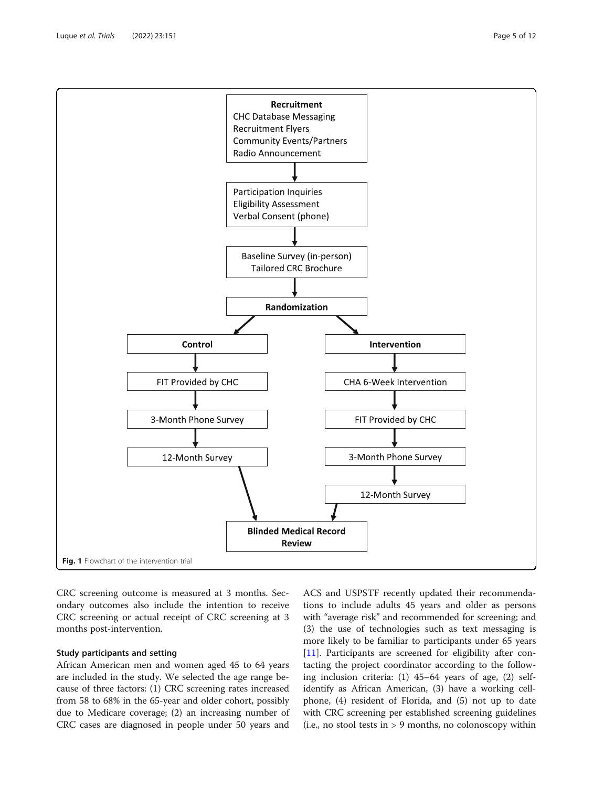<span id="page-4-0"></span>

CRC screening outcome is measured at 3 months. Secondary outcomes also include the intention to receive CRC screening or actual receipt of CRC screening at 3 months post-intervention.

## Study participants and setting

African American men and women aged 45 to 64 years are included in the study. We selected the age range because of three factors: (1) CRC screening rates increased from 58 to 68% in the 65-year and older cohort, possibly due to Medicare coverage; (2) an increasing number of CRC cases are diagnosed in people under 50 years and

ACS and USPSTF recently updated their recommendations to include adults 45 years and older as persons with "average risk" and recommended for screening; and (3) the use of technologies such as text messaging is more likely to be familiar to participants under 65 years [[11\]](#page-11-0). Participants are screened for eligibility after contacting the project coordinator according to the following inclusion criteria: (1) 45–64 years of age, (2) selfidentify as African American, (3) have a working cellphone, (4) resident of Florida, and (5) not up to date with CRC screening per established screening guidelines (i.e., no stool tests in > 9 months, no colonoscopy within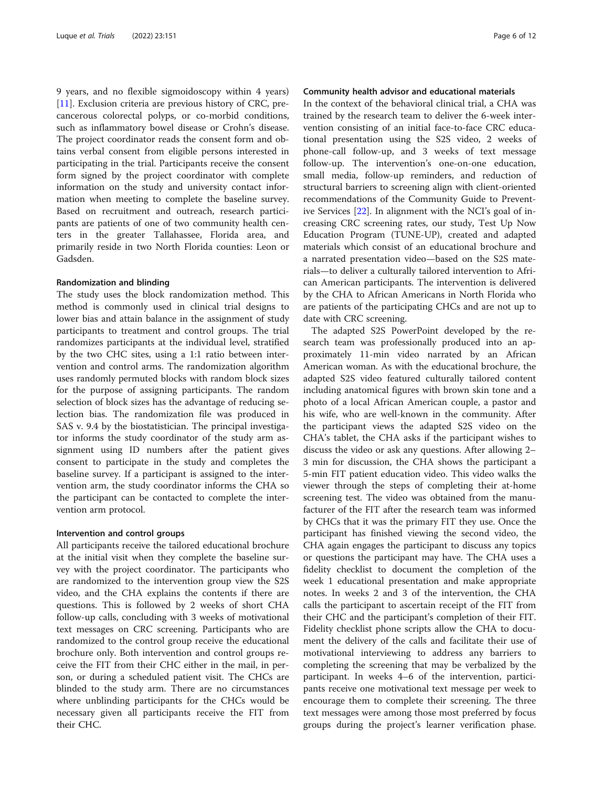9 years, and no flexible sigmoidoscopy within 4 years) [[11\]](#page-11-0). Exclusion criteria are previous history of CRC, precancerous colorectal polyps, or co-morbid conditions, such as inflammatory bowel disease or Crohn's disease. The project coordinator reads the consent form and obtains verbal consent from eligible persons interested in participating in the trial. Participants receive the consent form signed by the project coordinator with complete information on the study and university contact information when meeting to complete the baseline survey. Based on recruitment and outreach, research participants are patients of one of two community health centers in the greater Tallahassee, Florida area, and primarily reside in two North Florida counties: Leon or Gadsden.

## Randomization and blinding

The study uses the block randomization method. This method is commonly used in clinical trial designs to lower bias and attain balance in the assignment of study participants to treatment and control groups. The trial randomizes participants at the individual level, stratified by the two CHC sites, using a 1:1 ratio between intervention and control arms. The randomization algorithm uses randomly permuted blocks with random block sizes for the purpose of assigning participants. The random selection of block sizes has the advantage of reducing selection bias. The randomization file was produced in SAS v. 9.4 by the biostatistician. The principal investigator informs the study coordinator of the study arm assignment using ID numbers after the patient gives consent to participate in the study and completes the baseline survey. If a participant is assigned to the intervention arm, the study coordinator informs the CHA so the participant can be contacted to complete the intervention arm protocol.

## Intervention and control groups

All participants receive the tailored educational brochure at the initial visit when they complete the baseline survey with the project coordinator. The participants who are randomized to the intervention group view the S2S video, and the CHA explains the contents if there are questions. This is followed by 2 weeks of short CHA follow-up calls, concluding with 3 weeks of motivational text messages on CRC screening. Participants who are randomized to the control group receive the educational brochure only. Both intervention and control groups receive the FIT from their CHC either in the mail, in person, or during a scheduled patient visit. The CHCs are blinded to the study arm. There are no circumstances where unblinding participants for the CHCs would be necessary given all participants receive the FIT from their CHC.

## Community health advisor and educational materials

In the context of the behavioral clinical trial, a CHA was trained by the research team to deliver the 6-week intervention consisting of an initial face-to-face CRC educational presentation using the S2S video, 2 weeks of phone-call follow-up, and 3 weeks of text message follow-up. The intervention's one-on-one education, small media, follow-up reminders, and reduction of structural barriers to screening align with client-oriented recommendations of the Community Guide to Preventive Services [\[22](#page-11-0)]. In alignment with the NCI's goal of increasing CRC screening rates, our study, Test Up Now Education Program (TUNE-UP), created and adapted materials which consist of an educational brochure and a narrated presentation video—based on the S2S materials—to deliver a culturally tailored intervention to African American participants. The intervention is delivered by the CHA to African Americans in North Florida who are patients of the participating CHCs and are not up to date with CRC screening.

The adapted S2S PowerPoint developed by the research team was professionally produced into an approximately 11-min video narrated by an African American woman. As with the educational brochure, the adapted S2S video featured culturally tailored content including anatomical figures with brown skin tone and a photo of a local African American couple, a pastor and his wife, who are well-known in the community. After the participant views the adapted S2S video on the CHA's tablet, the CHA asks if the participant wishes to discuss the video or ask any questions. After allowing 2– 3 min for discussion, the CHA shows the participant a 5-min FIT patient education video. This video walks the viewer through the steps of completing their at-home screening test. The video was obtained from the manufacturer of the FIT after the research team was informed by CHCs that it was the primary FIT they use. Once the participant has finished viewing the second video, the CHA again engages the participant to discuss any topics or questions the participant may have. The CHA uses a fidelity checklist to document the completion of the week 1 educational presentation and make appropriate notes. In weeks 2 and 3 of the intervention, the CHA calls the participant to ascertain receipt of the FIT from their CHC and the participant's completion of their FIT. Fidelity checklist phone scripts allow the CHA to document the delivery of the calls and facilitate their use of motivational interviewing to address any barriers to completing the screening that may be verbalized by the participant. In weeks 4–6 of the intervention, participants receive one motivational text message per week to encourage them to complete their screening. The three text messages were among those most preferred by focus groups during the project's learner verification phase.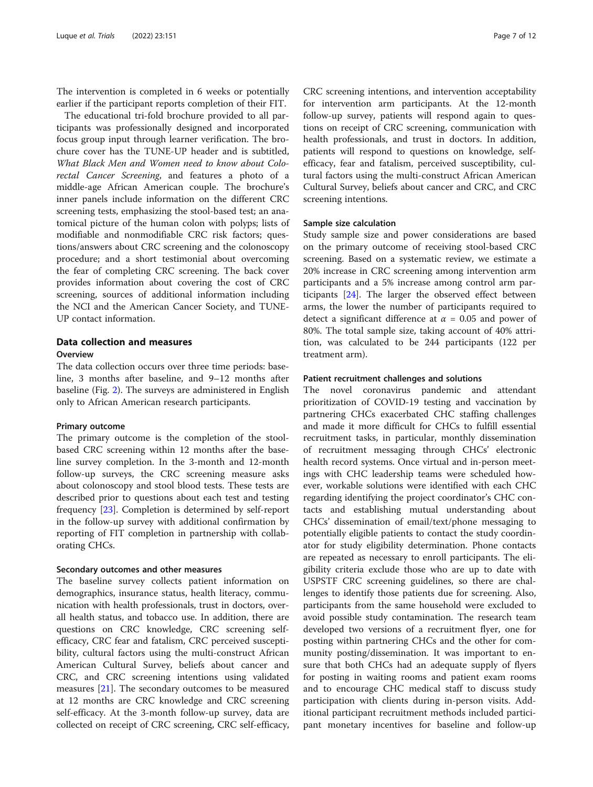The intervention is completed in 6 weeks or potentially earlier if the participant reports completion of their FIT.

The educational tri-fold brochure provided to all participants was professionally designed and incorporated focus group input through learner verification. The brochure cover has the TUNE-UP header and is subtitled, What Black Men and Women need to know about Colorectal Cancer Screening, and features a photo of a middle-age African American couple. The brochure's inner panels include information on the different CRC screening tests, emphasizing the stool-based test; an anatomical picture of the human colon with polyps; lists of modifiable and nonmodifiable CRC risk factors; questions/answers about CRC screening and the colonoscopy procedure; and a short testimonial about overcoming the fear of completing CRC screening. The back cover provides information about covering the cost of CRC screening, sources of additional information including the NCI and the American Cancer Society, and TUNE-UP contact information.

## Data collection and measures **Overview**

The data collection occurs over three time periods: baseline, 3 months after baseline, and 9–12 months after baseline (Fig. [2\)](#page-7-0). The surveys are administered in English only to African American research participants.

## Primary outcome

The primary outcome is the completion of the stoolbased CRC screening within 12 months after the baseline survey completion. In the 3-month and 12-month follow-up surveys, the CRC screening measure asks about colonoscopy and stool blood tests. These tests are described prior to questions about each test and testing frequency [[23](#page-11-0)]. Completion is determined by self-report in the follow-up survey with additional confirmation by reporting of FIT completion in partnership with collaborating CHCs.

## Secondary outcomes and other measures

The baseline survey collects patient information on demographics, insurance status, health literacy, communication with health professionals, trust in doctors, overall health status, and tobacco use. In addition, there are questions on CRC knowledge, CRC screening selfefficacy, CRC fear and fatalism, CRC perceived susceptibility, cultural factors using the multi-construct African American Cultural Survey, beliefs about cancer and CRC, and CRC screening intentions using validated measures [\[21](#page-11-0)]. The secondary outcomes to be measured at 12 months are CRC knowledge and CRC screening self-efficacy. At the 3-month follow-up survey, data are collected on receipt of CRC screening, CRC self-efficacy,

CRC screening intentions, and intervention acceptability for intervention arm participants. At the 12-month follow-up survey, patients will respond again to questions on receipt of CRC screening, communication with health professionals, and trust in doctors. In addition, patients will respond to questions on knowledge, selfefficacy, fear and fatalism, perceived susceptibility, cultural factors using the multi-construct African American Cultural Survey, beliefs about cancer and CRC, and CRC screening intentions.

## Sample size calculation

Study sample size and power considerations are based on the primary outcome of receiving stool-based CRC screening. Based on a systematic review, we estimate a 20% increase in CRC screening among intervention arm participants and a 5% increase among control arm participants [[24\]](#page-11-0). The larger the observed effect between arms, the lower the number of participants required to detect a significant difference at  $\alpha = 0.05$  and power of 80%. The total sample size, taking account of 40% attrition, was calculated to be 244 participants (122 per treatment arm).

## Patient recruitment challenges and solutions

The novel coronavirus pandemic and attendant prioritization of COVID-19 testing and vaccination by partnering CHCs exacerbated CHC staffing challenges and made it more difficult for CHCs to fulfill essential recruitment tasks, in particular, monthly dissemination of recruitment messaging through CHCs' electronic health record systems. Once virtual and in-person meetings with CHC leadership teams were scheduled however, workable solutions were identified with each CHC regarding identifying the project coordinator's CHC contacts and establishing mutual understanding about CHCs' dissemination of email/text/phone messaging to potentially eligible patients to contact the study coordinator for study eligibility determination. Phone contacts are repeated as necessary to enroll participants. The eligibility criteria exclude those who are up to date with USPSTF CRC screening guidelines, so there are challenges to identify those patients due for screening. Also, participants from the same household were excluded to avoid possible study contamination. The research team developed two versions of a recruitment flyer, one for posting within partnering CHCs and the other for community posting/dissemination. It was important to ensure that both CHCs had an adequate supply of flyers for posting in waiting rooms and patient exam rooms and to encourage CHC medical staff to discuss study participation with clients during in-person visits. Additional participant recruitment methods included participant monetary incentives for baseline and follow-up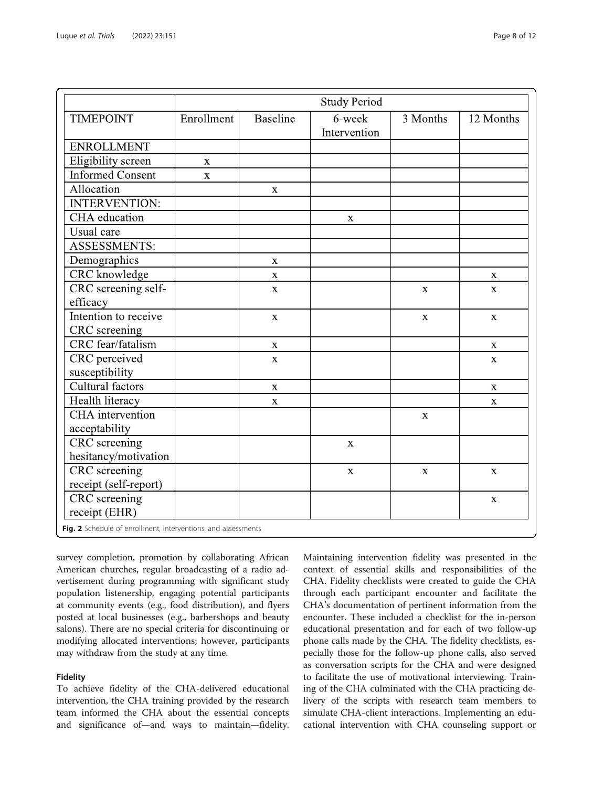<span id="page-7-0"></span>

|                         | <b>Study Period</b> |                 |                                      |             |             |
|-------------------------|---------------------|-----------------|--------------------------------------|-------------|-------------|
| <b>TIMEPOINT</b>        | Enrollment          | <b>Baseline</b> | $\overline{6}$ -week<br>Intervention | 3 Months    | 12 Months   |
| <b>ENROLLMENT</b>       |                     |                 |                                      |             |             |
| Eligibility screen      | $\mathbf X$         |                 |                                      |             |             |
| <b>Informed Consent</b> | $\mathbf{X}$        |                 |                                      |             |             |
| Allocation              |                     | $\mathbf X$     |                                      |             |             |
| <b>INTERVENTION:</b>    |                     |                 |                                      |             |             |
| CHA education           |                     |                 | $\mathbf X$                          |             |             |
| Usual care              |                     |                 |                                      |             |             |
| <b>ASSESSMENTS:</b>     |                     |                 |                                      |             |             |
| Demographics            |                     | $\mathbf X$     |                                      |             |             |
| <b>CRC</b> knowledge    |                     | $\mathbf X$     |                                      |             | $\mathbf X$ |
| CRC screening self-     |                     | $\mathbf{X}$    |                                      | $\mathbf X$ | $\mathbf X$ |
| efficacy                |                     |                 |                                      |             |             |
| Intention to receive    |                     | $\mathbf X$     |                                      | $\mathbf X$ | $\mathbf X$ |
| CRC screening           |                     |                 |                                      |             |             |
| CRC fear/fatalism       |                     | $\mathbf X$     |                                      |             | $\mathbf X$ |
| CRC perceived           |                     | $\mathbf X$     |                                      |             | $\mathbf X$ |
| susceptibility          |                     |                 |                                      |             |             |
| Cultural factors        |                     | $\mathbf X$     |                                      |             | $\mathbf X$ |
| Health literacy         |                     | $\mathbf X$     |                                      |             | $\mathbf X$ |
| CHA intervention        |                     |                 |                                      | $\mathbf X$ |             |
| acceptability           |                     |                 |                                      |             |             |
| CRC screening           |                     |                 | $\mathbf X$                          |             |             |
| hesitancy/motivation    |                     |                 |                                      |             |             |
| <b>CRC</b> screening    |                     |                 | $\mathbf X$                          | $\mathbf X$ | $\mathbf X$ |
| receipt (self-report)   |                     |                 |                                      |             |             |
| CRC screening           |                     |                 |                                      |             | $\mathbf X$ |
| receipt (EHR)           |                     |                 |                                      |             |             |

survey completion, promotion by collaborating African American churches, regular broadcasting of a radio advertisement during programming with significant study population listenership, engaging potential participants at community events (e.g., food distribution), and flyers posted at local businesses (e.g., barbershops and beauty salons). There are no special criteria for discontinuing or modifying allocated interventions; however, participants may withdraw from the study at any time.

## Fidelity

To achieve fidelity of the CHA-delivered educational intervention, the CHA training provided by the research team informed the CHA about the essential concepts and significance of—and ways to maintain—fidelity.

Maintaining intervention fidelity was presented in the context of essential skills and responsibilities of the CHA. Fidelity checklists were created to guide the CHA through each participant encounter and facilitate the CHA's documentation of pertinent information from the encounter. These included a checklist for the in-person educational presentation and for each of two follow-up phone calls made by the CHA. The fidelity checklists, especially those for the follow-up phone calls, also served as conversation scripts for the CHA and were designed to facilitate the use of motivational interviewing. Training of the CHA culminated with the CHA practicing delivery of the scripts with research team members to simulate CHA-client interactions. Implementing an educational intervention with CHA counseling support or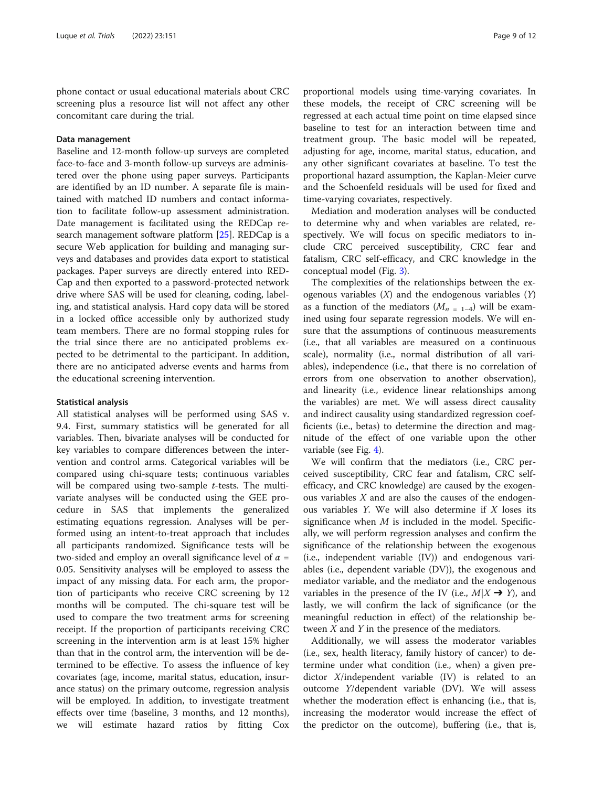phone contact or usual educational materials about CRC screening plus a resource list will not affect any other concomitant care during the trial.

## Data management

Baseline and 12-month follow-up surveys are completed face-to-face and 3-month follow-up surveys are administered over the phone using paper surveys. Participants are identified by an ID number. A separate file is maintained with matched ID numbers and contact information to facilitate follow-up assessment administration. Date management is facilitated using the REDCap research management software platform [\[25](#page-11-0)]. REDCap is a secure Web application for building and managing surveys and databases and provides data export to statistical packages. Paper surveys are directly entered into RED-Cap and then exported to a password-protected network drive where SAS will be used for cleaning, coding, labeling, and statistical analysis. Hard copy data will be stored in a locked office accessible only by authorized study team members. There are no formal stopping rules for the trial since there are no anticipated problems expected to be detrimental to the participant. In addition, there are no anticipated adverse events and harms from the educational screening intervention.

### Statistical analysis

All statistical analyses will be performed using SAS v. 9.4. First, summary statistics will be generated for all variables. Then, bivariate analyses will be conducted for key variables to compare differences between the intervention and control arms. Categorical variables will be compared using chi-square tests; continuous variables will be compared using two-sample  $t$ -tests. The multivariate analyses will be conducted using the GEE procedure in SAS that implements the generalized estimating equations regression. Analyses will be performed using an intent-to-treat approach that includes all participants randomized. Significance tests will be two-sided and employ an overall significance level of  $\alpha$  = 0.05. Sensitivity analyses will be employed to assess the impact of any missing data. For each arm, the proportion of participants who receive CRC screening by 12 months will be computed. The chi-square test will be used to compare the two treatment arms for screening receipt. If the proportion of participants receiving CRC screening in the intervention arm is at least 15% higher than that in the control arm, the intervention will be determined to be effective. To assess the influence of key covariates (age, income, marital status, education, insurance status) on the primary outcome, regression analysis will be employed. In addition, to investigate treatment effects over time (baseline, 3 months, and 12 months), we will estimate hazard ratios by fitting Cox

proportional models using time-varying covariates. In these models, the receipt of CRC screening will be regressed at each actual time point on time elapsed since baseline to test for an interaction between time and treatment group. The basic model will be repeated, adjusting for age, income, marital status, education, and any other significant covariates at baseline. To test the proportional hazard assumption, the Kaplan-Meier curve and the Schoenfeld residuals will be used for fixed and time-varying covariates, respectively.

Mediation and moderation analyses will be conducted to determine why and when variables are related, respectively. We will focus on specific mediators to include CRC perceived susceptibility, CRC fear and fatalism, CRC self-efficacy, and CRC knowledge in the conceptual model (Fig. [3\)](#page-9-0).

The complexities of the relationships between the exogenous variables  $(X)$  and the endogenous variables  $(Y)$ as a function of the mediators  $(M_{n=1-4})$  will be examined using four separate regression models. We will ensure that the assumptions of continuous measurements (i.e., that all variables are measured on a continuous scale), normality (i.e., normal distribution of all variables), independence (i.e., that there is no correlation of errors from one observation to another observation), and linearity (i.e., evidence linear relationships among the variables) are met. We will assess direct causality and indirect causality using standardized regression coefficients (i.e., betas) to determine the direction and magnitude of the effect of one variable upon the other variable (see Fig. [4](#page-9-0)).

We will confirm that the mediators (i.e., CRC perceived susceptibility, CRC fear and fatalism, CRC selfefficacy, and CRC knowledge) are caused by the exogenous variables  $X$  and are also the causes of the endogenous variables  $Y$ . We will also determine if  $X$  loses its significance when  $M$  is included in the model. Specifically, we will perform regression analyses and confirm the significance of the relationship between the exogenous (i.e., independent variable (IV)) and endogenous variables (i.e., dependent variable (DV)), the exogenous and mediator variable, and the mediator and the endogenous variables in the presence of the IV (i.e.,  $M|X \rightarrow Y$ ), and lastly, we will confirm the lack of significance (or the meaningful reduction in effect) of the relationship between  $X$  and  $Y$  in the presence of the mediators.

Additionally, we will assess the moderator variables (i.e., sex, health literacy, family history of cancer) to determine under what condition (i.e., when) a given predictor X/independent variable (IV) is related to an outcome Y/dependent variable (DV). We will assess whether the moderation effect is enhancing (i.e., that is, increasing the moderator would increase the effect of the predictor on the outcome), buffering (i.e., that is,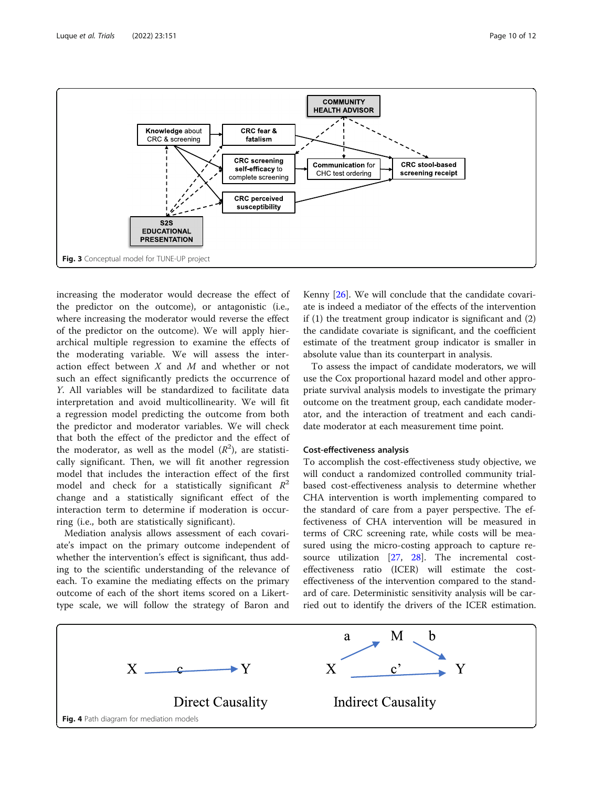<span id="page-9-0"></span>

increasing the moderator would decrease the effect of the predictor on the outcome), or antagonistic (i.e., where increasing the moderator would reverse the effect of the predictor on the outcome). We will apply hierarchical multiple regression to examine the effects of the moderating variable. We will assess the interaction effect between X and M and whether or not such an effect significantly predicts the occurrence of Y. All variables will be standardized to facilitate data interpretation and avoid multicollinearity. We will fit a regression model predicting the outcome from both the predictor and moderator variables. We will check that both the effect of the predictor and the effect of the moderator, as well as the model  $(R^2)$ , are statistically significant. Then, we will fit another regression model that includes the interaction effect of the first model and check for a statistically significant  $R^2$ change and a statistically significant effect of the interaction term to determine if moderation is occurring (i.e., both are statistically significant).

Mediation analysis allows assessment of each covariate's impact on the primary outcome independent of whether the intervention's effect is significant, thus adding to the scientific understanding of the relevance of each. To examine the mediating effects on the primary outcome of each of the short items scored on a Likerttype scale, we will follow the strategy of Baron and

Kenny [\[26](#page-11-0)]. We will conclude that the candidate covariate is indeed a mediator of the effects of the intervention if (1) the treatment group indicator is significant and (2) the candidate covariate is significant, and the coefficient estimate of the treatment group indicator is smaller in absolute value than its counterpart in analysis.

To assess the impact of candidate moderators, we will use the Cox proportional hazard model and other appropriate survival analysis models to investigate the primary outcome on the treatment group, each candidate moderator, and the interaction of treatment and each candidate moderator at each measurement time point.

## Cost-effectiveness analysis

To accomplish the cost-effectiveness study objective, we will conduct a randomized controlled community trialbased cost-effectiveness analysis to determine whether CHA intervention is worth implementing compared to the standard of care from a payer perspective. The effectiveness of CHA intervention will be measured in terms of CRC screening rate, while costs will be measured using the micro-costing approach to capture resource utilization [[27](#page-11-0), [28\]](#page-11-0). The incremental costeffectiveness ratio (ICER) will estimate the costeffectiveness of the intervention compared to the standard of care. Deterministic sensitivity analysis will be carried out to identify the drivers of the ICER estimation.

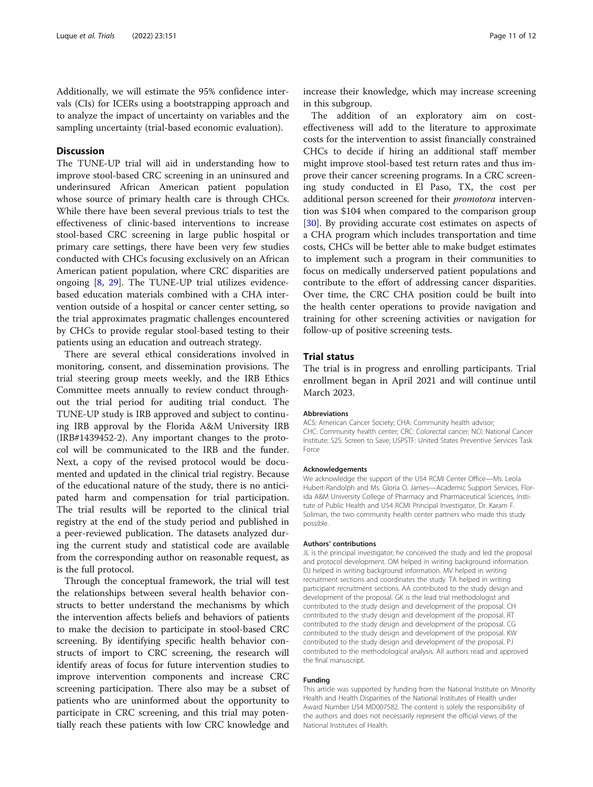Additionally, we will estimate the 95% confidence intervals (CIs) for ICERs using a bootstrapping approach and to analyze the impact of uncertainty on variables and the sampling uncertainty (trial-based economic evaluation).

## **Discussion**

The TUNE-UP trial will aid in understanding how to improve stool-based CRC screening in an uninsured and underinsured African American patient population whose source of primary health care is through CHCs. While there have been several previous trials to test the effectiveness of clinic-based interventions to increase stool-based CRC screening in large public hospital or primary care settings, there have been very few studies conducted with CHCs focusing exclusively on an African American patient population, where CRC disparities are ongoing [[8](#page-11-0), [29\]](#page-11-0). The TUNE-UP trial utilizes evidencebased education materials combined with a CHA intervention outside of a hospital or cancer center setting, so the trial approximates pragmatic challenges encountered by CHCs to provide regular stool-based testing to their patients using an education and outreach strategy.

There are several ethical considerations involved in monitoring, consent, and dissemination provisions. The trial steering group meets weekly, and the IRB Ethics Committee meets annually to review conduct throughout the trial period for auditing trial conduct. The TUNE-UP study is IRB approved and subject to continuing IRB approval by the Florida A&M University IRB (IRB#1439452-2). Any important changes to the protocol will be communicated to the IRB and the funder. Next, a copy of the revised protocol would be documented and updated in the clinical trial registry. Because of the educational nature of the study, there is no anticipated harm and compensation for trial participation. The trial results will be reported to the clinical trial registry at the end of the study period and published in a peer-reviewed publication. The datasets analyzed during the current study and statistical code are available from the corresponding author on reasonable request, as is the full protocol.

Through the conceptual framework, the trial will test the relationships between several health behavior constructs to better understand the mechanisms by which the intervention affects beliefs and behaviors of patients to make the decision to participate in stool-based CRC screening. By identifying specific health behavior constructs of import to CRC screening, the research will identify areas of focus for future intervention studies to improve intervention components and increase CRC screening participation. There also may be a subset of patients who are uninformed about the opportunity to participate in CRC screening, and this trial may potentially reach these patients with low CRC knowledge and

increase their knowledge, which may increase screening in this subgroup.

The addition of an exploratory aim on costeffectiveness will add to the literature to approximate costs for the intervention to assist financially constrained CHCs to decide if hiring an additional staff member might improve stool-based test return rates and thus improve their cancer screening programs. In a CRC screening study conducted in El Paso, TX, the cost per additional person screened for their *promotora* intervention was \$104 when compared to the comparison group [[30\]](#page-11-0). By providing accurate cost estimates on aspects of a CHA program which includes transportation and time costs, CHCs will be better able to make budget estimates to implement such a program in their communities to focus on medically underserved patient populations and contribute to the effort of addressing cancer disparities. Over time, the CRC CHA position could be built into the health center operations to provide navigation and training for other screening activities or navigation for follow-up of positive screening tests.

## Trial status

The trial is in progress and enrolling participants. Trial enrollment began in April 2021 and will continue until March 2023.

#### Abbreviations

ACS: American Cancer Society; CHA: Community health advisor; CHC: Community health center; CRC: Colorectal cancer; NCI: National Cancer Institute; S2S: Screen to Save; USPSTF: United States Preventive Services Task Force

#### Acknowledgements

We acknowledge the support of the U54 RCMI Center Office—Ms. Leola Hubert-Randolph and Ms. Gloria O. James—Academic Support Services, Florida A&M University College of Pharmacy and Pharmaceutical Sciences, Institute of Public Health and U54 RCMI Principal Investigator, Dr. Karam F. Soliman, the two community health center partners who made this study possible.

## Authors' contributions

JL is the principal investigator; he conceived the study and led the proposal and protocol development. OM helped in writing background information. DJ helped in writing background information. MV helped in writing recruitment sections and coordinates the study. TA helped in writing participant recruitment sections. AA contributed to the study design and development of the proposal. GK is the lead trial methodologist and contributed to the study design and development of the proposal. CH contributed to the study design and development of the proposal. RT contributed to the study design and development of the proposal. CG contributed to the study design and development of the proposal. KW contributed to the study design and development of the proposal. PJ contributed to the methodological analysis. All authors read and approved the final manuscript.

#### Funding

This article was supported by funding from the National Institute on Minority Health and Health Disparities of the National Institutes of Health under Award Number U54 MD007582. The content is solely the responsibility of the authors and does not necessarily represent the official views of the National Institutes of Health.